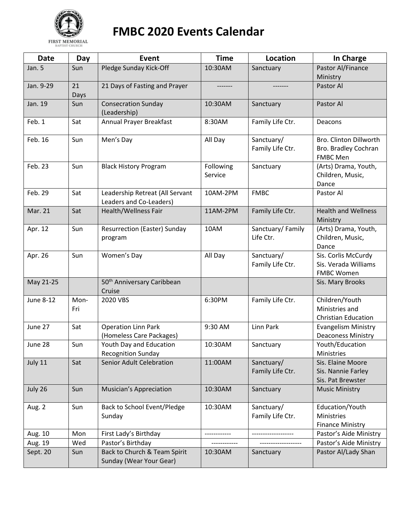

## **FMBC 2020 Events Calendar**

| <b>Date</b>      | Day         | Event                                                      | <b>Time</b>          | Location                       | In Charge                                                         |
|------------------|-------------|------------------------------------------------------------|----------------------|--------------------------------|-------------------------------------------------------------------|
| Jan. 5           | Sun         | Pledge Sunday Kick-Off                                     | 10:30AM              | Sanctuary                      | Pastor Al/Finance<br>Ministry                                     |
| Jan. 9-29        | 21<br>Days  | 21 Days of Fasting and Prayer                              |                      |                                | Pastor Al                                                         |
| Jan. 19          | Sun         | <b>Consecration Sunday</b><br>(Leadership)                 | 10:30AM              | Sanctuary                      | Pastor Al                                                         |
| Feb. 1           | Sat         | Annual Prayer Breakfast                                    | 8:30AM               | Family Life Ctr.               | Deacons                                                           |
| Feb. 16          | Sun         | Men's Day                                                  | All Day              | Sanctuary/<br>Family Life Ctr. | Bro. Clinton Dillworth<br>Bro. Bradley Cochran<br><b>FMBC Men</b> |
| Feb. 23          | Sun         | <b>Black History Program</b>                               | Following<br>Service | Sanctuary                      | (Arts) Drama, Youth,<br>Children, Music,<br>Dance                 |
| Feb. 29          | Sat         | Leadership Retreat (All Servant<br>Leaders and Co-Leaders) | 10AM-2PM             | <b>FMBC</b>                    | Pastor Al                                                         |
| Mar. 21          | Sat         | <b>Health/Wellness Fair</b>                                | 11AM-2PM             | Family Life Ctr.               | <b>Health and Wellness</b><br>Ministry                            |
| Apr. 12          | Sun         | <b>Resurrection (Easter) Sunday</b><br>program             | 10AM                 | Sanctuary/Family<br>Life Ctr.  | (Arts) Drama, Youth,<br>Children, Music,<br>Dance                 |
| Apr. 26          | Sun         | Women's Day                                                | All Day              | Sanctuary/<br>Family Life Ctr. | Sis. Corlis McCurdy<br>Sis. Verada Williams<br><b>FMBC Women</b>  |
| May 21-25        |             | 50 <sup>th</sup> Anniversary Caribbean<br>Cruise           |                      |                                | Sis. Mary Brooks                                                  |
| <b>June 8-12</b> | Mon-<br>Fri | 2020 VBS                                                   | 6:30PM               | Family Life Ctr.               | Children/Youth<br>Ministries and<br><b>Christian Education</b>    |
| June 27          | Sat         | <b>Operation Linn Park</b><br>(Homeless Care Packages)     | 9:30 AM              | Linn Park                      | <b>Evangelism Ministry</b><br><b>Deaconess Ministry</b>           |
| June 28          | Sun         | Youth Day and Education<br><b>Recognition Sunday</b>       | 10:30AM              | Sanctuary                      | Youth/Education<br><b>Ministries</b>                              |
| July 11          | Sat         | <b>Senior Adult Celebration</b>                            | 11:00AM              | Sanctuary/<br>Family Life Ctr. | Sis. Elaine Moore<br>Sis. Nannie Farley<br>Sis. Pat Brewster      |
| July 26          | Sun         | <b>Musician's Appreciation</b>                             | 10:30AM              | Sanctuary                      | <b>Music Ministry</b>                                             |
| Aug. 2           | Sun         | Back to School Event/Pledge<br>Sunday                      | 10:30AM              | Sanctuary/<br>Family Life Ctr. | Education/Youth<br>Ministries<br><b>Finance Ministry</b>          |
| Aug. 10          | Mon         | First Lady's Birthday                                      |                      |                                | Pastor's Aide Ministry                                            |
| Aug. 19          | Wed         | Pastor's Birthday                                          |                      |                                | Pastor's Aide Ministry                                            |
| Sept. 20         | Sun         | Back to Church & Team Spirit<br>Sunday (Wear Your Gear)    | 10:30AM              | Sanctuary                      | Pastor Al/Lady Shan                                               |